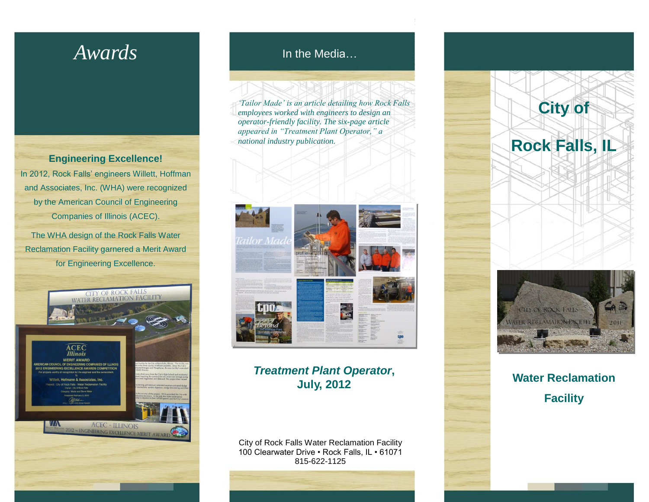# *Awards*

**Engineering Excellence!** In 2012, Rock Falls' engineers Willett, Hoffman and Associates, Inc. (WHA) were recognized by the American Council of Engineering Companies of Illinois (ACEC).

The WHA design of the Rock Falls Water Reclamation Facility garnered a Merit Award for Engineering Excellence.



In the Media…

*'Tailor Made' is an article detailing how Rock Falls employees worked with engineers to design an operator-friendly facility. The six-page article appeared in "Treatment Plant Operator," a national industry publication.* 



#### *Treatment Plant Operator***, July, 2012**

City of Rock Falls Water Reclamation Facility 100 Clearwater Drive • Rock Falls, IL • 61071 815-622-1125



**Water Reclamation Facility**